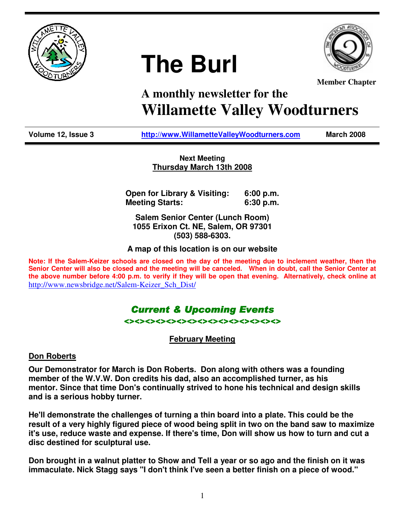





**Member Chapter**

# **A monthly newsletter for the Willamette Valley Woodturners**

**Volume 12, Issue 3 http://www.WillametteValleyWoodturners.com March 2008** 

**Next Meeting Thursday March 13th 2008**

**Open for Library & Visiting: 6:00 p.m. Meeting Starts: 6:30 p.m.** 

**Salem Senior Center (Lunch Room) 1055 Erixon Ct. NE, Salem, OR 97301 (503) 588-6303.** 

**A map of this location is on our website** 

**Note: If the Salem-Keizer schools are closed on the day of the meeting due to inclement weather, then the Senior Center will also be closed and the meeting will be canceled. When in doubt, call the Senior Center at the above number before 4:00 p.m. to verify if they will be open that evening. Alternatively, check online at**  http://www.newsbridge.net/Salem-Keizer\_Sch\_Dist/

### **Current & Upcoming Events** <><><><><><><><><><><><><><><>

**February Meeting**

**Don Roberts**

**Our Demonstrator for March is Don Roberts. Don along with others was a founding member of the W.V.W. Don credits his dad, also an accomplished turner, as his mentor. Since that time Don's continually strived to hone his technical and design skills and is a serious hobby turner.** 

**He'll demonstrate the challenges of turning a thin board into a plate. This could be the result of a very highly figured piece of wood being split in two on the band saw to maximize it's use, reduce waste and expense. If there's time, Don will show us how to turn and cut a disc destined for sculptural use.** 

**Don brought in a walnut platter to Show and Tell a year or so ago and the finish on it was immaculate. Nick Stagg says "I don't think I've seen a better finish on a piece of wood."**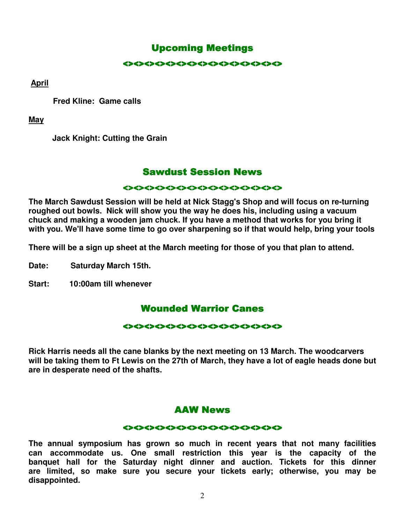### **Upcoming Meetings**

#### <><><><><><><><><><><><><><><>

 **April**

 **Fred Kline: Game calls** 

**May**

 **Jack Knight: Cutting the Grain** 

### **Sawdust Session News**

#### $\leftrightarrow$

**The March Sawdust Session will be held at Nick Stagg's Shop and will focus on re-turning roughed out bowls. Nick will show you the way he does his, including using a vacuum chuck and making a wooden jam chuck. If you have a method that works for you bring it with you. We'll have some time to go over sharpening so if that would help, bring your tools** 

**There will be a sign up sheet at the March meeting for those of you that plan to attend.** 

**Date: Saturday March 15th.** 

**Start: 10:00am till whenever** 

### **Wounded Warrior Canes**

#### くつくうくうくうくうくうくうくうくうくうくうくうくう

**Rick Harris needs all the cane blanks by the next meeting on 13 March. The woodcarvers will be taking them to Ft Lewis on the 27th of March, they have a lot of eagle heads done but are in desperate need of the shafts.** 

### AAW News

#### <><><><><><><><><><><><><><><> <><><><><><><><><><><><><><><>

**The annual symposium has grown so much in recent years that not many facilities can accommodate us. One small restriction this year is the capacity of the banquet hall for the Saturday night dinner and auction. Tickets for this dinner are limited, so make sure you secure your tickets early; otherwise, you may be disappointed.**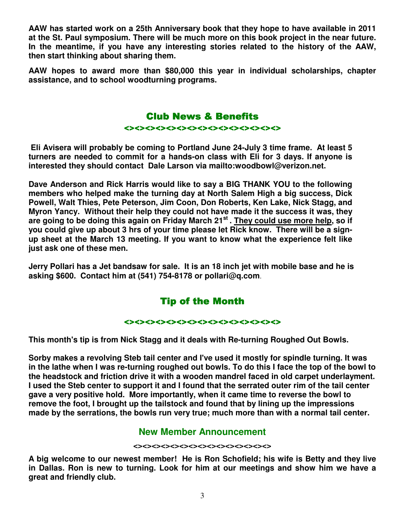**AAW has started work on a 25th Anniversary book that they hope to have available in 2011 at the St. Paul symposium. There will be much more on this book project in the near future. In the meantime, if you have any interesting stories related to the history of the AAW, then start thinking about sharing them.** 

**AAW hopes to award more than \$80,000 this year in individual scholarships, chapter assistance, and to school woodturning programs.** 

### **Club News & Benefits**

<><><><><><><><><><><><><><><>

 **Eli Avisera will probably be coming to Portland June 24-July 3 time frame. At least 5 turners are needed to commit for a hands-on class with Eli for 3 days. If anyone is interested they should contact Dale Larson via mailto:woodbowl@verizon.net.** 

**Dave Anderson and Rick Harris would like to say a BIG THANK YOU to the following members who helped make the turning day at North Salem High a big success, Dick Powell, Walt Thies, Pete Peterson, Jim Coon, Don Roberts, Ken Lake, Nick Stagg, and Myron Yancy. Without their help they could not have made it the success it was, they are going to be doing this again on Friday March 21st . They could use more help, so if you could give up about 3 hrs of your time please let Rick know. There will be a signup sheet at the March 13 meeting. If you want to know what the experience felt like just ask one of these men.** 

**Jerry Pollari has a Jet bandsaw for sale. It is an 18 inch jet with mobile base and he is asking \$600. Contact him at (541) 754-8178 or pollari@q.com**.

# **Tip of the Month**

 $\leftrightarrow$ 

**This month's tip is from Nick Stagg and it deals with Re-turning Roughed Out Bowls.**

**Sorby makes a revolving Steb tail center and I've used it mostly for spindle turning. It was in the lathe when I was re-turning roughed out bowls. To do this I face the top of the bowl to the headstock and friction drive it with a wooden mandrel faced in old carpet underlayment. I used the Steb center to support it and I found that the serrated outer rim of the tail center gave a very positive hold. More importantly, when it came time to reverse the bowl to remove the foot, I brought up the tailstock and found that by lining up the impressions made by the serrations, the bowls run very true; much more than with a normal tail center.** 

### **New Member Announcement**

#### **<><><><><><><><><><><><><><><>**

**A big welcome to our newest member! He is Ron Schofield; his wife is Betty and they live in Dallas. Ron is new to turning. Look for him at our meetings and show him we have a great and friendly club.**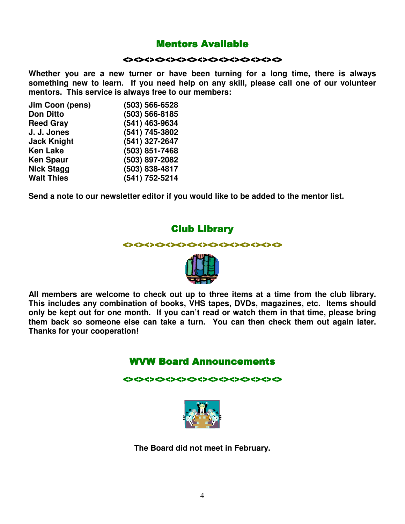### **Mentors Available**

#### <><><><><><><><><><><><><><><>

**Whether you are a new turner or have been turning for a long time, there is always something new to learn. If you need help on any skill, please call one of our volunteer mentors. This service is always free to our members:** 

| Jim Coon (pens)    | (503) 566-6528 |
|--------------------|----------------|
| <b>Don Ditto</b>   | (503) 566-8185 |
| <b>Reed Gray</b>   | (541) 463-9634 |
| J. J. Jones        | (541) 745-3802 |
| <b>Jack Knight</b> | (541) 327-2647 |
| <b>Ken Lake</b>    | (503) 851-7468 |
| <b>Ken Spaur</b>   | (503) 897-2082 |
| <b>Nick Stagg</b>  | (503) 838-4817 |
| <b>Walt Thies</b>  | (541) 752-5214 |

**Send a note to our newsletter editor if you would like to be added to the mentor list.** 

### **Club Library**





**All members are welcome to check out up to three items at a time from the club library. This includes any combination of books, VHS tapes, DVDs, magazines, etc. Items should only be kept out for one month. If you can't read or watch them in that time, please bring them back so someone else can take a turn. You can then check them out again later. Thanks for your cooperation!** 

### WVW Board Announcements

<><><><><><><><><><><><><><><> <><><><><><><><><><><><><><><>



**The Board did not meet in February.**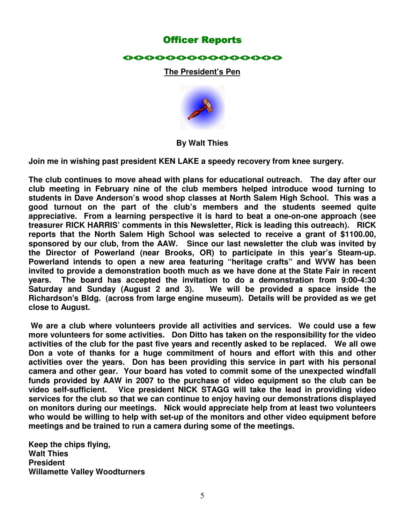### **Officer Reports**

#### <><><><><><><><><><><><><><><>

#### **The President's Pen**



#### **By Walt Thies**

**Join me in wishing past president KEN LAKE a speedy recovery from knee surgery.** 

**The club continues to move ahead with plans for educational outreach. The day after our club meeting in February nine of the club members helped introduce wood turning to students in Dave Anderson's wood shop classes at North Salem High School. This was a good turnout on the part of the club's members and the students seemed quite appreciative. From a learning perspective it is hard to beat a one-on-one approach (see treasurer RICK HARRIS' comments in this Newsletter, Rick is leading this outreach). RICK reports that the North Salem High School was selected to receive a grant of \$1100.00, sponsored by our club, from the AAW. Since our last newsletter the club was invited by the Director of Powerland (near Brooks, OR) to participate in this year's Steam-up. Powerland intends to open a new area featuring "heritage crafts" and WVW has been invited to provide a demonstration booth much as we have done at the State Fair in recent years. The board has accepted the invitation to do a demonstration from 9:00-4:30 Saturday and Sunday (August 2 and 3). We will be provided a space inside the Richardson's Bldg. (across from large engine museum). Details will be provided as we get close to August.** 

**We are a club where volunteers provide all activities and services. We could use a few more volunteers for some activities. Don Ditto has taken on the responsibility for the video activities of the club for the past five years and recently asked to be replaced. We all owe Don a vote of thanks for a huge commitment of hours and effort with this and other activities over the years. Don has been providing this service in part with his personal camera and other gear. Your board has voted to commit some of the unexpected windfall funds provided by AAW in 2007 to the purchase of video equipment so the club can be video self-sufficient. Vice president NICK STAGG will take the lead in providing video services for the club so that we can continue to enjoy having our demonstrations displayed on monitors during our meetings. Nick would appreciate help from at least two volunteers who would be willing to help with set-up of the monitors and other video equipment before meetings and be trained to run a camera during some of the meetings.** 

**Keep the chips flying, Walt Thies President Willamette Valley Woodturners**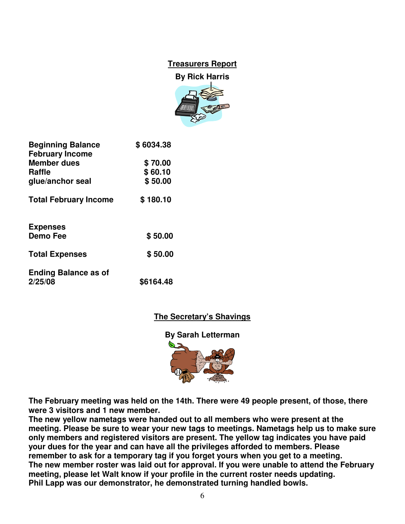# **Treasurers Report**

**By Rick Harris** 



| <b>Beginning Balance</b><br><b>February Income</b> | \$6034.38 |
|----------------------------------------------------|-----------|
| <b>Member dues</b>                                 | \$70.00   |
| <b>Raffle</b>                                      | \$60.10   |
| glue/anchor seal                                   | \$50.00   |
| <b>Total February Income</b>                       | \$180.10  |
| <b>Expenses</b>                                    |           |
| <b>Demo Fee</b>                                    | \$50.00   |
| <b>Total Expenses</b>                              | \$50.00   |
| <b>Ending Balance as of</b><br>2/25/08             | \$6164.48 |

### **The Secretary's Shavings**

**By Sarah Letterman** 



**The February meeting was held on the 14th. There were 49 people present, of those, there were 3 visitors and 1 new member.** 

**The new yellow nametags were handed out to all members who were present at the meeting. Please be sure to wear your new tags to meetings. Nametags help us to make sure only members and registered visitors are present. The yellow tag indicates you have paid your dues for the year and can have all the privileges afforded to members. Please remember to ask for a temporary tag if you forget yours when you get to a meeting. The new member roster was laid out for approval. If you were unable to attend the February meeting, please let Walt know if your profile in the current roster needs updating. Phil Lapp was our demonstrator, he demonstrated turning handled bowls.**